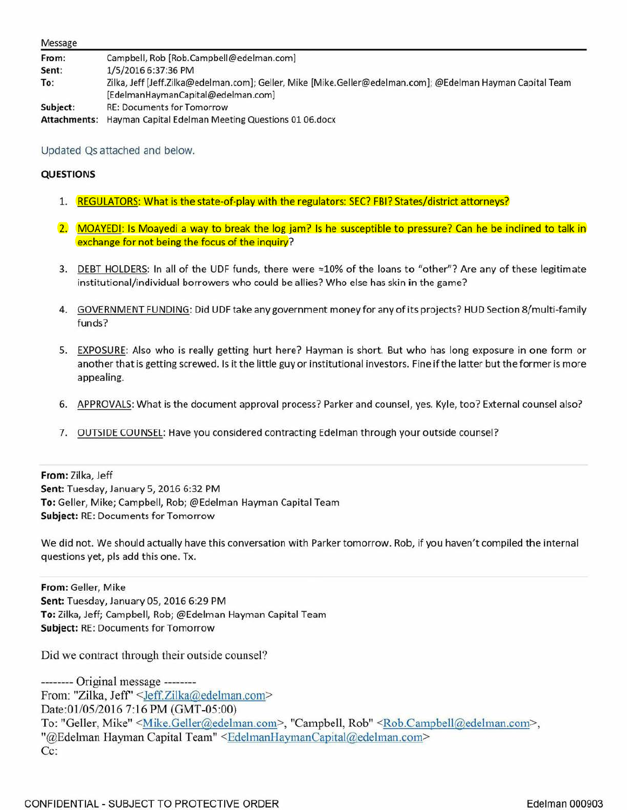| Message      |                                                                                                            |
|--------------|------------------------------------------------------------------------------------------------------------|
| From:        | Campbell, Rob [Rob.Campbell@edelman.com]                                                                   |
| Sent:        | 1/5/2016 6:37:36 PM                                                                                        |
| To:          | Zilka, Jeff [Jeff.Zilka@edelman.com]; Geller, Mike [Mike.Geller@edelman.com]; @Edelman Hayman Capital Team |
|              | [EdelmanHaymanCapital@edelman.com]                                                                         |
| Subject:     | <b>RE: Documents for Tomorrow</b>                                                                          |
| Attachments: | Hayman Capital Edelman Meeting Questions 01 06.docx                                                        |

Updated Qs attached and below.

## **QUESTIONS**

- 1. REGULATORS: What is the state-of-play with the regulators: SEC? FBI? States/district attorneys?
- 2. MOAYEDI: Is Moayedi a way to break the log jam? Is he susceptible to pressure? Can he be inclined to talk in exchange for not being the focus of the inquiry?
- 3. DEBT HOLDERS: In all of the UDF funds, there were  $\approx$ 10% of the loans to "other"? Are any of these legitimate institutional/individual borrowers who could be allies? Who else has skin in the game?
- 4. GOVERNMENT FUNDING: Did UDF take any government money for any of its projects? HUD Section 8/multi-family funds?
- 5. EXPOSURE: Also who is really getting hurt here? Hayman is short. But who has long exposure in one form or another that is getting screwed. Is it the little guy or institutional investors. Fine if the latter but the former is more appealing.
- 6. APPROVALS: What is the document approval process? Parker and counsel, yes. Kyle, too? External counsel also?
- 7. OUTSIDE COUNSEL: Have you considered contracting Edelman through your outside counsel?

**From:** Zilka, Jeff **Sent:** Tuesday, January S, 2016 6:32 PM **To:** Geller, Mike; Campbell, Rob; @Edelman Hayman Capital Team **Subject:** RE: Documents for Tomorrow

We did not. We should actually have this conversation with Parker tomorrow. Rob, if you haven't compiled the internal questions yet, pis add this one. Tx.

**From:** Geller, Mike **Sent:** Tuesday, January OS, 2016 6:29 PM **To:** Zilka, Jeff; Campbell, Rob; @Edelman Hayman Capital Team **Subject:** RE: Documents for Tomorrow

Did we contract through their outside counsel?

-------- Original message -------- From: "Zilka, Jeff' <Jeff.Zilka@edelman.com> Date:01/05/2016 7:16 PM (GMT-05:00) To: "Geller, Mike" < Mike.Geller@edelman.com>, "Campbell, Rob" < Rob.Campbell@edelman.com>, "@Edelman Hayman Capital Team" <EdelmanHaymanCapital@edelman.com> Cc: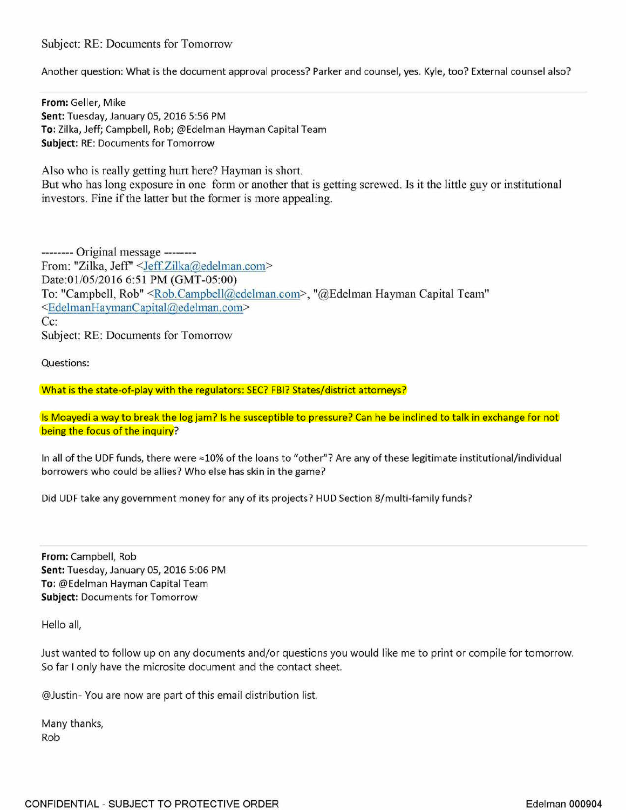## Subject: RE: Documents for Tomorrow

Another question: What is the document approval process? Parker and counsel, yes. Kyle, too? External counsel also?

**From:** Geller, Mike **Sent:** Tuesday, January OS, 2016 S:S6 PM **To:** Zilka, Jeff; Campbell, Rob; @Edelman Hayman Capital Team **Subject:** RE: Documents for Tomorrow

Also who is really getting hurt here? Hayman is short. But who has long exposure in one form or another that is getting screwed. Is it the little guy or institutional investors. Fine if the latter but the former is more appealing.

-------- Original message -------- From: "Zilka, Jeff' <Jeff.Zilka@edelman.com> Date:01/05/2016 6:51 PM (GMT-05:00) To: "Campbell, Rob" <Rob.Campbell@edelman.com>, "@Edelman Hayman Capital Team" <EdelmanHayrnanCapital@edelman.com> Cc: Subject: RE: Documents for Tomorrow

Questions:

What is the state-of-play with the regulators: SEC? FBI? States/district attorneys?

Is Moayedi a way to break the log jam? Is he susceptible to pressure? Can he be inclined to talk in exchange for not being the focus of the inquiry?

In all of the UDF funds, there were  $\approx$ 10% of the loans to "other"? Are any of these legitimate institutional/individual borrowers who could be allies? Who else has skin in the game?

Did UDF take any government money for any of its projects? HUD Section 8/multi-family funds?

**From:** Campbell, Rob **Sent:** Tuesday, January OS, 2016 S:06 PM **To:** @Edelman Hayman Capital Team **Subject:** Documents for Tomorrow

Hello all,

Just wanted to follow up on any documents and/or questions you would like me to print or compile for tomorrow. So far I only have the microsite document and the contact sheet.

@Justin- You are now are part of this email distribution list.

Many thanks, Rob